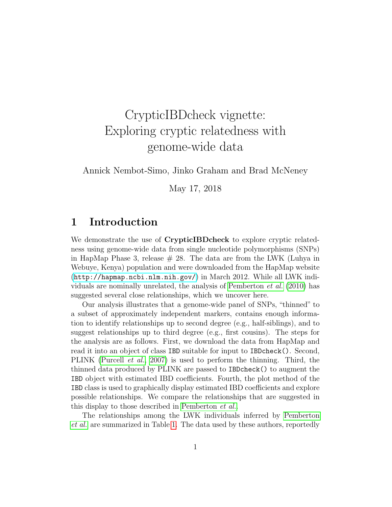# CrypticIBDcheck vignette: Exploring cryptic relatedness with genome-wide data

Annick Nembot-Simo, Jinko Graham and Brad McNeney

May 17, 2018

### <span id="page-0-0"></span>1 Introduction

We demonstrate the use of CrypticIBDcheck to explore cryptic relatedness using genome-wide data from single nucleotide polymorphisms (SNPs) in HapMap Phase 3, release  $\#$  28. The data are from the LWK (Luhya in Webuye, Kenya) population and were downloaded from the HapMap website (<http://hapmap.ncbi.nlm.nih.gov/>) in March 2012. While all LWK indi-viduals are nominally unrelated, the analysis of [Pemberton](#page-10-0)  $et al. (2010)$  $et al. (2010)$  has suggested several close relationships, which we uncover here.

Our analysis illustrates that a genome-wide panel of SNPs, "thinned" to a subset of approximately independent markers, contains enough information to identify relationships up to second degree (e.g., half-siblings), and to suggest relationships up to third degree (e.g., first cousins). The steps for the analysis are as follows. First, we download the data from HapMap and read it into an object of class IBD suitable for input to IBDcheck(). Second, PLINK [\(Purcell](#page-10-1) et al., [2007\)](#page-10-1) is used to perform the thinning. Third, the thinned data produced by PLINK are passed to IBDcheck() to augment the IBD object with estimated IBD coefficients. Fourth, the plot method of the IBD class is used to graphically display estimated IBD coefficients and explore possible relationships. We compare the relationships that are suggested in this display to those described in [Pemberton](#page-10-0) et al..

The relationships among the LWK individuals inferred by [Pemberton](#page-10-0) [et al.](#page-10-0) are summarized in Table [1.](#page-0-0) The data used by these authors, reportedly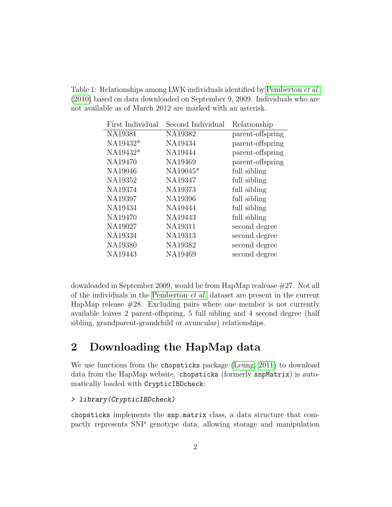Table 1: Relationships among LWK individuals identified by [Pemberton](#page-10-0) et al. [\(2010\)](#page-10-0) based on data downloaded on September 9, 2009. Individuals who are not available as of March 2012 are marked with an asterisk.

| First Individual | Second Individual | Relationship     |
|------------------|-------------------|------------------|
| NA19381          | NA19382           | parent-offspring |
| NA19432*         | NA19434           | parent-offspring |
| NA19432*         | NA19444           | parent-offspring |
| NA19470          | NA19469           | parent-offspring |
| NA19046          | NA19045*          | full sibling     |
| NA19352          | NA19347           | full sibling     |
| NA19374          | NA19373           | full sibling     |
| NA19397          | NA19396           | full sibling     |
| NA19434          | NA19444           | full sibling     |
| NA19470          | NA19443           | full sibling     |
| NA19027          | NA19311           | second degree    |
| NA19334          | NA19313           | second degree    |
| NA19380          | NA19382           | second degree    |
| NA19443          | NA19469           | second degree    |
|                  |                   |                  |

downloaded in September 2009, would be from HapMap realease #27. Not all of the individuals in the [Pemberton](#page-10-0) et al. dataset are present in the current HapMap release  $\#28$ . Excluding pairs where one member is not currently available leaves 2 parent-offspring, 5 full sibling and 4 second degree (half sibling, grandparent-grandchild or avuncular) relationships.

## 2 Downloading the HapMap data

We use functions from the chopsticks package [\(Leung, 2011\)](#page-10-2) to download data from the HapMap website. chopsticks (formerly snpMatrix) is automatically loaded with CrypticIBDcheck:

### > library(CrypticIBDcheck)

chopsticks implements the snp.matrix class, a data structure that compactly represents SNP genotype data, allowing storage and manipulation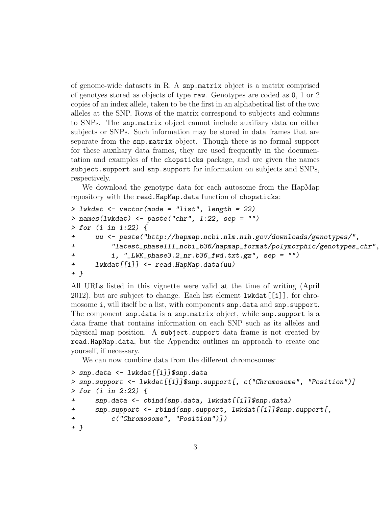of genome-wide datasets in R. A snp.matrix object is a matrix comprised of genotyes stored as objects of type raw. Genotypes are coded as 0, 1 or 2 copies of an index allele, taken to be the first in an alphabetical list of the two alleles at the SNP. Rows of the matrix correspond to subjects and columns to SNPs. The snp.matrix object cannot include auxiliary data on either subjects or SNPs. Such information may be stored in data frames that are separate from the snp.matrix object. Though there is no formal support for these auxiliary data frames, they are used frequently in the documentation and examples of the chopsticks package, and are given the names subject.support and snp.support for information on subjects and SNPs, respectively.

We download the genotype data for each autosome from the HapMap repository with the read.HapMap.data function of chopsticks:

```
> lwkdat \leq vector(mode = "list", length = 22)
> names(lwkdat) <- paste("chr", 1:22, sep = "")
> for (i in 1:22) {
+ uu <- paste("http://hapmap.ncbi.nlm.nih.gov/downloads/genotypes/",
+ "latest_phaseIII_ncbi_b36/hapmap_format/polymorphic/genotypes_chr",
+ i, "_LWK_phase3.2_nr.b36_fwd.txt.gz", sep = "")
+ lwkdat[[i]] <- read.HapMap.data(uu)
+ }
```
All URLs listed in this vignette were valid at the time of writing (April 2012), but are subject to change. Each list element lwkdat[[i]], for chromosome i, will itself be a list, with components snp.data and snp.support. The component snp.data is a snp.matrix object, while snp.support is a data frame that contains information on each SNP such as its alleles and physical map position. A subject.support data frame is not created by read.HapMap.data, but the Appendix outlines an approach to create one yourself, if necessary.

We can now combine data from the different chromosomes:

```
> snp.data <- lwkdat[[1]]$snp.data
> snp.support <- lwkdat[[1]]$snp.support[, c("Chromosome", "Position")]
> for (i in 2:22) {
+ snp.data <- cbind(snp.data, lwkdat[[i]]$snp.data)
+ snp.support <- rbind(snp.support, lwkdat[[i]]$snp.support[,
+ c("Chromosome", "Position")])
+ }
```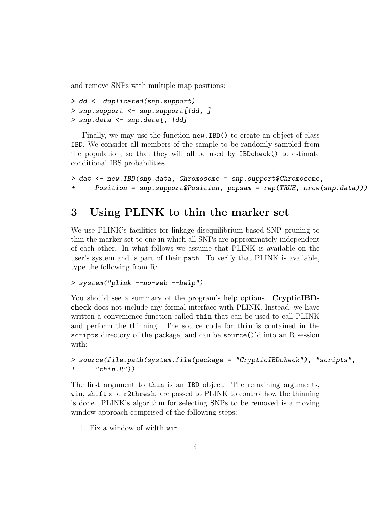and remove SNPs with multiple map positions:

```
> dd <- duplicated(snp.support)
> snp.support <- snp.support[!dd, ]
> snp.data <- snp.data[, !dd]
```
Finally, we may use the function new.IBD() to create an object of class IBD. We consider all members of the sample to be randomly sampled from the population, so that they will all be used by IBDcheck() to estimate conditional IBS probabilities.

```
> dat <- new.IBD(snp.data, Chromosome = snp.support$Chromosome,
+ Position = snp.support$Position, popsam = rep(TRUE, nrow(snp.data)))
```
## <span id="page-3-0"></span>3 Using PLINK to thin the marker set

We use PLINK's facilities for linkage-disequilibrium-based SNP pruning to thin the marker set to one in which all SNPs are approximately independent of each other. In what follows we assume that PLINK is available on the user's system and is part of their path. To verify that PLINK is available, type the following from R:

#### > system("plink --no-web --help")

You should see a summary of the program's help options. CrypticIBDcheck does not include any formal interface with PLINK. Instead, we have written a convenience function called thin that can be used to call PLINK and perform the thinning. The source code for thin is contained in the scripts directory of the package, and can be source()'d into an R session with:

### > source(file.path(system.file(package = "CrypticIBDcheck"), "scripts", + "thin.R"))

The first argument to thin is an IBD object. The remaining arguments, win, shift and r2thresh, are passed to PLINK to control how the thinning is done. PLINK's algorithm for selecting SNPs to be removed is a moving window approach comprised of the following steps:

1. Fix a window of width win.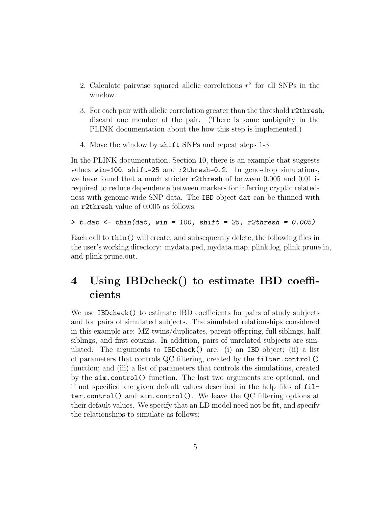- 2. Calculate pairwise squared allelic correlations  $r^2$  for all SNPs in the window.
- 3. For each pair with allelic correlation greater than the threshold r2thresh, discard one member of the pair. (There is some ambiguity in the PLINK documentation about the how this step is implemented.)
- 4. Move the window by shift SNPs and repeat steps 1-3.

In the PLINK documentation, Section 10, there is an example that suggests values win=100, shift=25 and r2thresh=0.2. In gene-drop simulations, we have found that a much stricter r2thresh of between 0.005 and 0.01 is required to reduce dependence between markers for inferring cryptic relatedness with genome-wide SNP data. The IBD object dat can be thinned with an r2thresh value of 0.005 as follows:

```
> t.dat \le thin(dat, win = 100, shift = 25, r2thresh = 0.005)
```
Each call to thin() will create, and subsequently delete, the following files in the user's working directory: mydata.ped, mydata.map, plink.log, plink.prune.in, and plink.prune.out.

## 4 Using IBDcheck() to estimate IBD coefficients

We use IBDcheck() to estimate IBD coefficients for pairs of study subjects and for pairs of simulated subjects. The simulated relationships considered in this example are: MZ twins/duplicates, parent-offspring, full siblings, half siblings, and first cousins. In addition, pairs of unrelated subjects are simulated. The arguments to IBDcheck() are: (i) an IBD object; (ii) a list of parameters that controls QC filtering, created by the filter.control() function; and (iii) a list of parameters that controls the simulations, created by the sim.control() function. The last two arguments are optional, and if not specified are given default values described in the help files of filter.control() and sim.control(). We leave the QC filtering options at their default values. We specify that an LD model need not be fit, and specify the relationships to simulate as follows: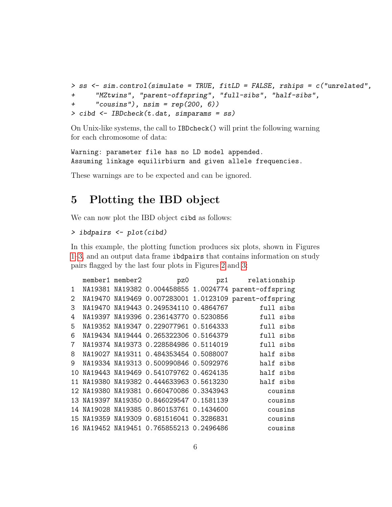```
> ss <- sim.control(simulate = TRUE, fitLD = FALSE, rships = c("unrelated",
+ "MZtwins", "parent-offspring", "full-sibs", "half-sibs",
+ "cousins"), nsim = rep(200, 6))
> cibd <- IBDcheck(t.dat, simparams = ss)
```
On Unix-like systems, the call to IBDcheck() will print the following warning for each chromosome of data:

Warning: parameter file has no LD model appended. Assuming linkage equilirbiurm and given allele frequencies.

These warnings are to be expected and can be ignored.

## 5 Plotting the IBD object

We can now plot the IBD object cibd as follows:

#### > ibdpairs <- plot(cibd)

In this example, the plotting function produces six plots, shown in Figures [1–](#page-6-0)[3,](#page-7-0) and an output data frame ibdpairs that contains information on study pairs flagged by the last four plots in Figures [2](#page-7-1) and [3:](#page-7-0)

|                 |  |                                          | member1 member2 pz0 pz1 relationship                   |
|-----------------|--|------------------------------------------|--------------------------------------------------------|
| 1               |  |                                          | NA19381 NA19382 0.004458855 1.0024774 parent-offspring |
| $\overline{2}$  |  |                                          | NA19470 NA19469 0.007283001 1.0123109 parent-offspring |
| 3               |  | NA19470 NA19443 0.249534110 0.4864767    | full sibs                                              |
| 4               |  | NA19397 NA19396 0.236143770 0.5230856    | full sibs                                              |
| 5               |  | NA19352 NA19347 0.229077961 0.5164333    | full sibs                                              |
| 6               |  | NA19434 NA19444 0.265322306 0.5164379    | full sibs                                              |
| $7\overline{ }$ |  | NA19374 NA19373 0.228584986 0.5114019    | full sibs                                              |
| 8               |  | NA19027 NA19311 0.484353454 0.5088007    | half sibs                                              |
| 9               |  | NA19334 NA19313 0.500990846 0.5092976    | half sibs                                              |
|                 |  | 10 NA19443 NA19469 0.541079762 0.4624135 | half sibs                                              |
|                 |  | 11 NA19380 NA19382 0.444633963 0.5613230 | half sibs                                              |
|                 |  | 12 NA19380 NA19381 0.660470086 0.3343943 | cousins                                                |
|                 |  | 13 NA19397 NA19350 0.846029547 0.1581139 | cousins                                                |
|                 |  | 14 NA19028 NA19385 0.860153761 0.1434600 | cousins                                                |
|                 |  | 15 NA19359 NA19309 0.681516041 0.3286831 | cousins                                                |
|                 |  | 16 NA19452 NA19451 0.765855213 0.2496486 | cousins                                                |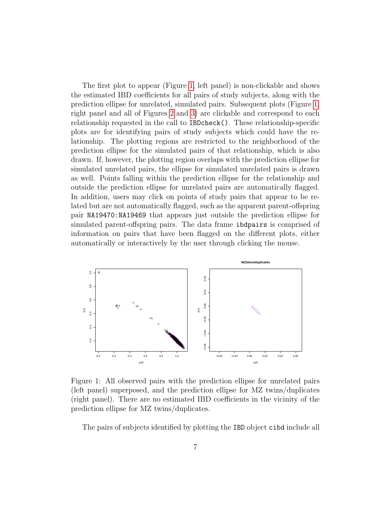The first plot to appear (Figure [1,](#page-6-0) left panel) is non-clickable and shows the estimated IBD coefficients for all pairs of study subjects, along with the prediction ellipse for unrelated, simulated pairs. Subsequent plots (Figure [1,](#page-6-0) right panel and all of Figures [2](#page-7-1) and [3\)](#page-7-0) are clickable and correspond to each relationship requested in the call to IBDcheck(). These relationship-specific plots are for identifying pairs of study subjects which could have the relationship. The plotting regions are restricted to the neighborhood of the prediction ellipse for the simulated pairs of that relationship, which is also drawn. If, however, the plotting region overlaps with the prediction ellipse for simulated unrelated pairs, the ellipse for simulated unrelated pairs is drawn as well. Points falling within the prediction ellipse for the relationship and outside the prediction ellipse for unrelated pairs are automatically flagged. In addition, users may click on points of study pairs that appear to be related but are not automatically flagged, such as the apparent parent-offspring pair NA19470:NA19469 that appears just outside the prediction ellipse for simulated parent-offspring pairs. The data frame ibdpairs is comprised of information on pairs that have been flagged on the different plots, either automatically or interactively by the user through clicking the mouse.



<span id="page-6-0"></span>Figure 1: All observed pairs with the prediction ellipse for unrelated pairs (left panel) superposed, and the prediction ellipse for MZ twins/duplicates (right panel). There are no estimated IBD coefficients in the vicinity of the prediction ellipse for MZ twins/duplicates.

The pairs of subjects identified by plotting the IBD object cibd include all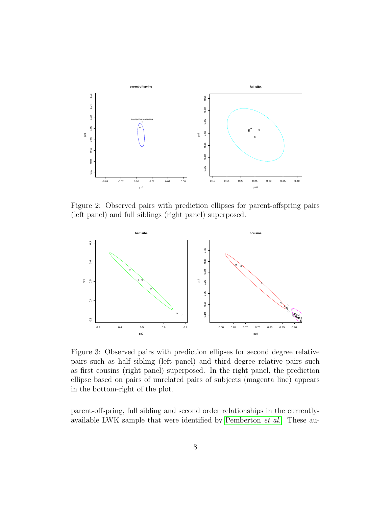

<span id="page-7-1"></span>Figure 2: Observed pairs with prediction ellipses for parent-offspring pairs (left panel) and full siblings (right panel) superposed.



<span id="page-7-0"></span>Figure 3: Observed pairs with prediction ellipses for second degree relative pairs such as half sibling (left panel) and third degree relative pairs such as first cousins (right panel) superposed. In the right panel, the prediction ellipse based on pairs of unrelated pairs of subjects (magenta line) appears in the bottom-right of the plot.

parent-offspring, full sibling and second order relationships in the currentlyavailable LWK sample that were identified by [Pemberton](#page-10-0) et al.. These au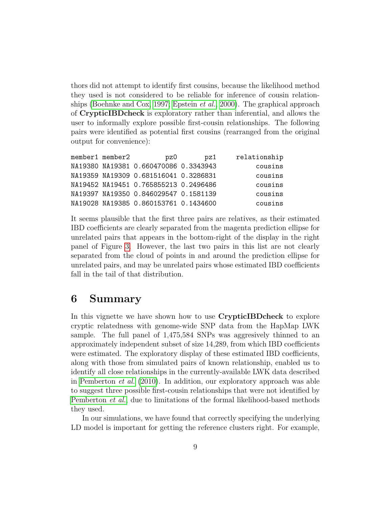thors did not attempt to identify first cousins, because the likelihood method they used is not considered to be reliable for inference of cousin relationships [\(Boehnke and Cox, 1997;](#page-10-3) [Epstein](#page-10-4) et al., [2000\)](#page-10-4). The graphical approach of CrypticIBDcheck is exploratory rather than inferential, and allows the user to informally explore possible first-cousin relationships. The following pairs were identified as potential first cousins (rearranged from the original output for convenience):

| member1 member2 | pz0                                   | pz1 | relationship |
|-----------------|---------------------------------------|-----|--------------|
|                 | NA19380 NA19381 0.660470086 0.3343943 |     | cousins      |
|                 | NA19359 NA19309 0.681516041 0.3286831 |     | cousins      |
|                 | NA19452 NA19451 0.765855213 0.2496486 |     | cousins      |
|                 | NA19397 NA19350 0.846029547 0.1581139 |     | cousins      |
|                 | NA19028 NA19385 0.860153761 0.1434600 |     | cousins      |

It seems plausible that the first three pairs are relatives, as their estimated IBD coefficients are clearly separated from the magenta prediction ellipse for unrelated pairs that appears in the bottom-right of the display in the right panel of Figure [3.](#page-7-0) However, the last two pairs in this list are not clearly separated from the cloud of points in and around the prediction ellipse for unrelated pairs, and may be unrelated pairs whose estimated IBD coefficients fall in the tail of that distribution.

### 6 Summary

In this vignette we have shown how to use CrypticIBDcheck to explore cryptic relatedness with genome-wide SNP data from the HapMap LWK sample. The full panel of 1,475,584 SNPs was aggresively thinned to an approximately independent subset of size 14,289, from which IBD coefficients were estimated. The exploratory display of these estimated IBD coefficients, along with those from simulated pairs of known relationship, enabled us to identify all close relationships in the currently-available LWK data described in [Pemberton](#page-10-0) et al. [\(2010\)](#page-10-0). In addition, our exploratory approach was able to suggest three possible first-cousin relationships that were not identified by [Pemberton](#page-10-0) et al., due to limitations of the formal likelihood-based methods they used.

In our simulations, we have found that correctly specifying the underlying LD model is important for getting the reference clusters right. For example,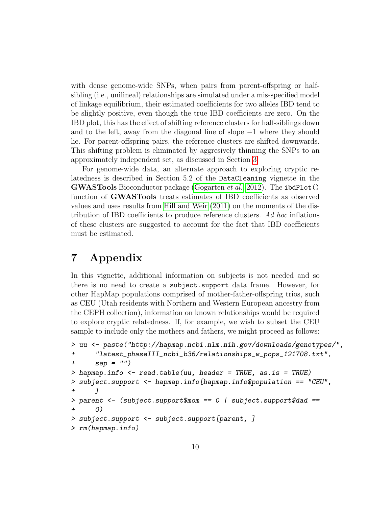with dense genome-wide SNPs, when pairs from parent-offspring or halfsibling (i.e., unilineal) relationships are simulated under a mis-specified model of linkage equilibrium, their estimated coefficients for two alleles IBD tend to be slightly positive, even though the true IBD coefficients are zero. On the IBD plot, this has the effect of shifting reference clusters for half-siblings down and to the left, away from the diagonal line of slope −1 where they should lie. For parent-offspring pairs, the reference clusters are shifted downwards. This shifting problem is eliminated by aggresively thinning the SNPs to an approximately independent set, as discussed in Section [3.](#page-3-0)

For genome-wide data, an alternate approach to exploring cryptic relatedness is described in Section 5.2 of the DataCleaning vignette in the GWASTools Bioconductor package [\(Gogarten](#page-10-5) *et al.*, [2012\)](#page-10-5). The ibdPlot() function of GWASTools treats estimates of IBD coefficients as observed values and uses results from [Hill and Weir](#page-10-6) [\(2011\)](#page-10-6) on the moments of the distribution of IBD coefficients to produce reference clusters. Ad hoc inflations of these clusters are suggested to account for the fact that IBD coefficients must be estimated.

## 7 Appendix

In this vignette, additional information on subjects is not needed and so there is no need to create a subject.support data frame. However, for other HapMap populations comprised of mother-father-offspring trios, such as CEU (Utah residents with Northern and Western European ancestry from the CEPH collection), information on known relationships would be required to explore cryptic relatedness. If, for example, we wish to subset the CEU sample to include only the mothers and fathers, we might proceed as follows:

```
> uu <- paste("http://hapmap.ncbi.nlm.nih.gov/downloads/genotypes/",
+ "latest_phaseIII_ncbi_b36/relationships_w_pops_121708.txt",
+ sep = "")
> hapmap.info <- read.table(uu, header = TRUE, as.is = TRUE)
> subject.support <- hapmap.info[hapmap.info$population == "CEU",
+ ]
> parent <- (subject.support$mom == 0 | subject.support$dad ==
+ 0)
> subject.support <- subject.support[parent, ]
> rm(hapmap.info)
```